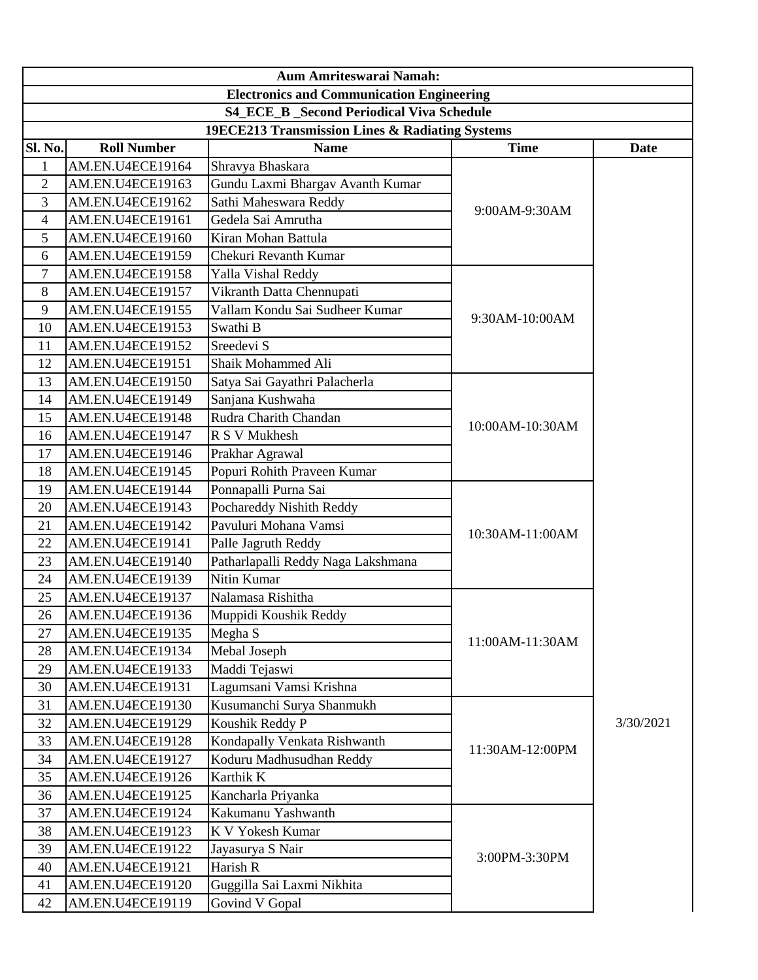|                                                  | <b>Aum Amriteswarai Namah:</b>                   |                                                 |                 |           |  |
|--------------------------------------------------|--------------------------------------------------|-------------------------------------------------|-----------------|-----------|--|
| <b>Electronics and Communication Engineering</b> |                                                  |                                                 |                 |           |  |
|                                                  | <b>S4_ECE_B</b> _Second Periodical Viva Schedule |                                                 |                 |           |  |
|                                                  |                                                  | 19ECE213 Transmission Lines & Radiating Systems |                 |           |  |
| <b>Sl. No.</b>                                   | <b>Roll Number</b>                               | <b>Name</b>                                     | <b>Time</b>     | Date      |  |
| $\mathbf{1}$                                     | AM.EN.U4ECE19164                                 | Shravya Bhaskara                                |                 |           |  |
| $\overline{2}$                                   | AM.EN.U4ECE19163                                 | Gundu Laxmi Bhargav Avanth Kumar                |                 |           |  |
| 3                                                | AM.EN.U4ECE19162                                 | Sathi Maheswara Reddy                           | 9:00AM-9:30AM   |           |  |
| $\overline{4}$                                   | AM.EN.U4ECE19161                                 | Gedela Sai Amrutha                              |                 |           |  |
| 5                                                | AM.EN.U4ECE19160                                 | Kiran Mohan Battula                             |                 |           |  |
| 6                                                | AM.EN.U4ECE19159                                 | Chekuri Revanth Kumar                           |                 |           |  |
| 7                                                | AM.EN.U4ECE19158                                 | Yalla Vishal Reddy                              |                 |           |  |
| 8                                                | AM.EN.U4ECE19157                                 | Vikranth Datta Chennupati                       |                 |           |  |
| 9                                                | AM.EN.U4ECE19155                                 | Vallam Kondu Sai Sudheer Kumar                  | 9:30AM-10:00AM  |           |  |
| 10                                               | AM.EN.U4ECE19153                                 | Swathi B                                        |                 |           |  |
| 11                                               | AM.EN.U4ECE19152                                 | Sreedevi S                                      |                 |           |  |
| 12                                               | AM.EN.U4ECE19151                                 | Shaik Mohammed Ali                              |                 |           |  |
| 13                                               | AM.EN.U4ECE19150                                 | Satya Sai Gayathri Palacherla                   |                 |           |  |
| 14                                               | AM.EN.U4ECE19149                                 | Sanjana Kushwaha                                |                 |           |  |
| 15                                               | AM.EN.U4ECE19148                                 | Rudra Charith Chandan                           | 10:00AM-10:30AM |           |  |
| 16                                               | AM.EN.U4ECE19147                                 | R S V Mukhesh                                   |                 |           |  |
| 17                                               | AM.EN.U4ECE19146                                 | Prakhar Agrawal                                 |                 |           |  |
| 18                                               | AM.EN.U4ECE19145                                 | Popuri Rohith Praveen Kumar                     |                 |           |  |
| 19                                               | AM.EN.U4ECE19144                                 | Ponnapalli Purna Sai                            |                 |           |  |
| 20                                               | AM.EN.U4ECE19143                                 | Pochareddy Nishith Reddy                        |                 |           |  |
| 21                                               | AM.EN.U4ECE19142                                 | Pavuluri Mohana Vamsi                           | 10:30AM-11:00AM |           |  |
| 22                                               | AM.EN.U4ECE19141                                 | Palle Jagruth Reddy                             |                 |           |  |
| 23                                               | AM.EN.U4ECE19140                                 | Patharlapalli Reddy Naga Lakshmana              |                 |           |  |
| 24                                               | AM.EN.U4ECE19139                                 | Nitin Kumar                                     |                 |           |  |
| 25                                               | AM.EN.U4ECE19137                                 | Nalamasa Rishitha                               |                 |           |  |
| 26                                               | AM.EN.U4ECE19136                                 | Muppidi Koushik Reddy                           |                 |           |  |
| 27                                               | AM.EN.U4ECE19135                                 | Megha S                                         | 11:00AM-11:30AM |           |  |
| 28                                               | AM.EN.U4ECE19134                                 | Mebal Joseph                                    |                 |           |  |
| 29                                               | AM.EN.U4ECE19133                                 | Maddi Tejaswi                                   |                 |           |  |
| 30                                               | AM.EN.U4ECE19131                                 | Lagumsani Vamsi Krishna                         |                 |           |  |
| 31                                               | AM.EN.U4ECE19130                                 | Kusumanchi Surya Shanmukh                       |                 |           |  |
| 32                                               | AM.EN.U4ECE19129                                 | Koushik Reddy P                                 |                 | 3/30/2021 |  |
| 33                                               | AM.EN.U4ECE19128                                 | Kondapally Venkata Rishwanth                    | 11:30AM-12:00PM |           |  |
| 34                                               | AM.EN.U4ECE19127                                 | Koduru Madhusudhan Reddy                        |                 |           |  |
| 35                                               | AM.EN.U4ECE19126                                 | Karthik K                                       |                 |           |  |
| 36                                               | AM.EN.U4ECE19125                                 | Kancharla Priyanka                              |                 |           |  |
| 37                                               | AM.EN.U4ECE19124                                 | Kakumanu Yashwanth                              |                 |           |  |
| 38                                               | AM.EN.U4ECE19123                                 | K V Yokesh Kumar                                |                 |           |  |
| 39                                               | AM.EN.U4ECE19122                                 | Jayasurya S Nair                                | 3:00PM-3:30PM   |           |  |
| 40                                               | AM.EN.U4ECE19121                                 | Harish R                                        |                 |           |  |
| 41                                               | AM.EN.U4ECE19120                                 | Guggilla Sai Laxmi Nikhita                      |                 |           |  |
| 42                                               | AM.EN.U4ECE19119                                 | Govind V Gopal                                  |                 |           |  |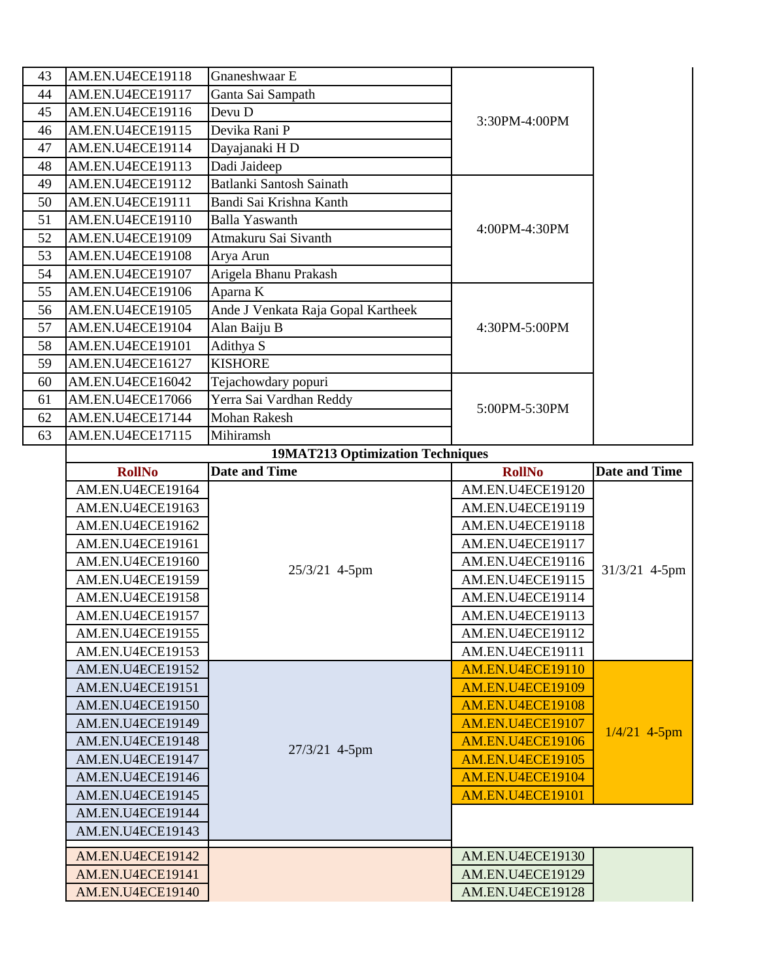| 43 | AM.EN.U4ECE19118                            | Gnaneshwaar E                           |                                             |                      |
|----|---------------------------------------------|-----------------------------------------|---------------------------------------------|----------------------|
| 44 | AM.EN.U4ECE19117                            | Ganta Sai Sampath                       |                                             |                      |
| 45 | AM.EN.U4ECE19116                            | Devu D                                  |                                             |                      |
| 46 | AM.EN.U4ECE19115                            | Devika Rani P                           | 3:30PM-4:00PM                               |                      |
| 47 | AM.EN.U4ECE19114                            | Dayajanaki HD                           |                                             |                      |
| 48 | AM.EN.U4ECE19113                            | Dadi Jaideep                            |                                             |                      |
| 49 | AM.EN.U4ECE19112                            | <b>Batlanki Santosh Sainath</b>         |                                             |                      |
| 50 | AM.EN.U4ECE19111                            | Bandi Sai Krishna Kanth                 |                                             |                      |
| 51 | AM.EN.U4ECE19110                            | <b>Balla Yaswanth</b>                   |                                             |                      |
| 52 | AM.EN.U4ECE19109                            | Atmakuru Sai Sivanth                    | 4:00PM-4:30PM                               |                      |
| 53 | AM.EN.U4ECE19108                            | Arya Arun                               |                                             |                      |
| 54 | AM.EN.U4ECE19107                            | Arigela Bhanu Prakash                   |                                             |                      |
| 55 | AM.EN.U4ECE19106                            | Aparna K                                |                                             |                      |
| 56 | AM.EN.U4ECE19105                            | Ande J Venkata Raja Gopal Kartheek      |                                             |                      |
| 57 | AM.EN.U4ECE19104                            | Alan Baiju B                            | 4:30PM-5:00PM                               |                      |
| 58 | AM.EN.U4ECE19101                            | Adithya S                               |                                             |                      |
| 59 | AM.EN.U4ECE16127                            | <b>KISHORE</b>                          |                                             |                      |
| 60 | AM.EN.U4ECE16042                            | Tejachowdary popuri                     |                                             |                      |
| 61 | AM.EN.U4ECE17066                            | Yerra Sai Vardhan Reddy                 | 5:00PM-5:30PM                               |                      |
| 62 | AM.EN.U4ECE17144                            | <b>Mohan Rakesh</b>                     |                                             |                      |
| 63 | AM.EN.U4ECE17115                            | Mihiramsh                               |                                             |                      |
|    |                                             | <b>19MAT213 Optimization Techniques</b> |                                             |                      |
|    | <b>RollNo</b>                               | <b>Date and Time</b>                    | <b>RollNo</b>                               | <b>Date and Time</b> |
|    |                                             |                                         |                                             |                      |
|    | AM.EN.U4ECE19164                            |                                         | AM.EN.U4ECE19120                            |                      |
|    | AM.EN.U4ECE19163                            |                                         | AM.EN.U4ECE19119                            |                      |
|    | AM.EN.U4ECE19162                            |                                         | AM.EN.U4ECE19118                            |                      |
|    | AM.EN.U4ECE19161                            |                                         | AM.EN.U4ECE19117                            |                      |
|    | AM.EN.U4ECE19160                            |                                         | AM.EN.U4ECE19116                            |                      |
|    | AM.EN.U4ECE19159                            | 25/3/21 4-5pm                           | AM.EN.U4ECE19115                            | 31/3/21 4-5pm        |
|    | AM.EN.U4ECE19158                            |                                         | AM.EN.U4ECE19114                            |                      |
|    | AM.EN.U4ECE19157                            |                                         | AM.EN.U4ECE19113                            |                      |
|    | AM.EN.U4ECE19155                            |                                         | AM.EN.U4ECE19112                            |                      |
|    | AM.EN.U4ECE19153                            |                                         | AM.EN.U4ECE19111                            |                      |
|    | AM.EN.U4ECE19152                            |                                         | <b>AM.EN.U4ECE19110</b>                     |                      |
|    | AM.EN.U4ECE19151                            |                                         | <b>AM.EN.U4ECE19109</b>                     |                      |
|    | AM.EN.U4ECE19150                            |                                         | <b>AM.EN.U4ECE19108</b>                     |                      |
|    | AM.EN.U4ECE19149                            |                                         | <b>AM.EN.U4ECE19107</b>                     |                      |
|    | AM.EN.U4ECE19148                            |                                         | AM.EN.U4ECE19106                            | $1/4/21$ 4-5pm       |
|    | AM.EN.U4ECE19147                            | 27/3/21 4-5pm                           | <b>AM.EN.U4ECE19105</b>                     |                      |
|    |                                             |                                         |                                             |                      |
|    | AM.EN.U4ECE19146                            |                                         | <b>AM.EN.U4ECE19104</b>                     |                      |
|    | AM.EN.U4ECE19145                            |                                         | <b>AM.EN.U4ECE19101</b>                     |                      |
|    | AM.EN.U4ECE19144<br>AM.EN.U4ECE19143        |                                         |                                             |                      |
|    |                                             |                                         |                                             |                      |
|    | AM.EN.U4ECE19142                            |                                         | AM.EN.U4ECE19130                            |                      |
|    | AM.EN.U4ECE19141<br><b>AM.EN.U4ECE19140</b> |                                         | <b>AM.EN.U4ECE19129</b><br>AM.EN.U4ECE19128 |                      |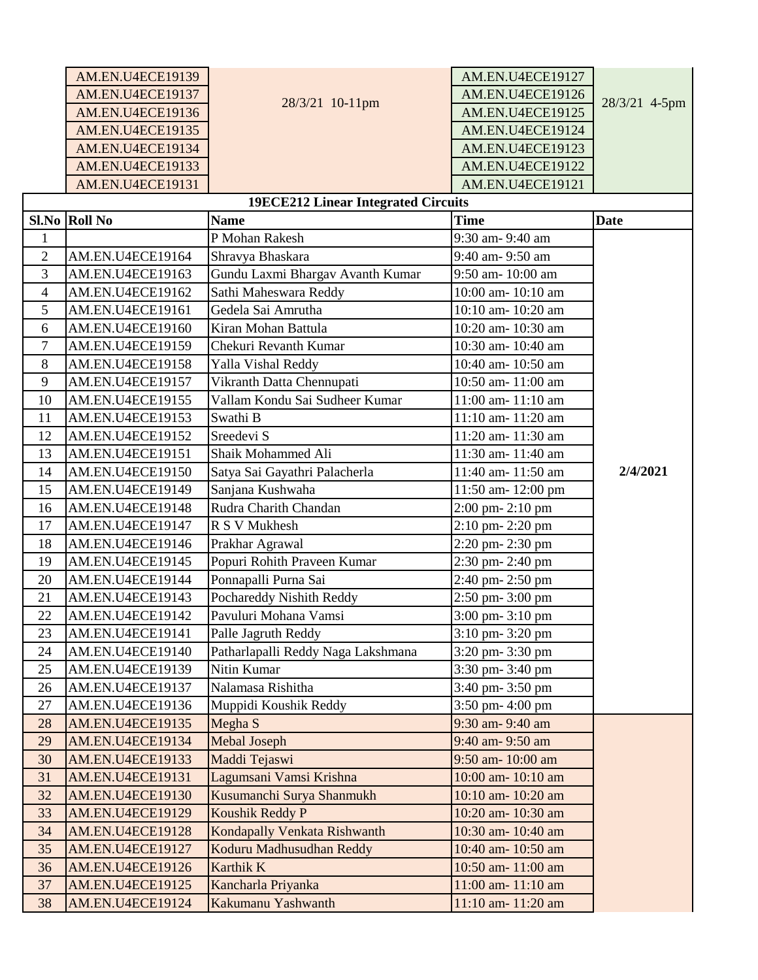|                | AM.EN.U4ECE19139        |                                            | AM.EN.U4ECE19127   |               |
|----------------|-------------------------|--------------------------------------------|--------------------|---------------|
|                | AM.EN.U4ECE19137        |                                            | AM.EN.U4ECE19126   |               |
|                | AM.EN.U4ECE19136        | 28/3/21 10-11pm                            | AM.EN.U4ECE19125   | 28/3/21 4-5pm |
|                | <b>AM.EN.U4ECE19135</b> |                                            | AM.EN.U4ECE19124   |               |
|                | AM.EN.U4ECE19134        |                                            | AM.EN.U4ECE19123   |               |
|                | <b>AM.EN.U4ECE19133</b> |                                            | AM.EN.U4ECE19122   |               |
|                | AM.EN.U4ECE19131        |                                            | AM.EN.U4ECE19121   |               |
|                |                         | <b>19ECE212 Linear Integrated Circuits</b> |                    |               |
|                | Sl.No Roll No           | <b>Name</b>                                | <b>Time</b>        | <b>Date</b>   |
| $\mathbf{1}$   |                         | P Mohan Rakesh                             | 9:30 am- 9:40 am   |               |
| $\overline{2}$ | AM.EN.U4ECE19164        | Shravya Bhaskara                           | 9:40 am- 9:50 am   |               |
| 3              | AM.EN.U4ECE19163        | Gundu Laxmi Bhargav Avanth Kumar           | 9:50 am-10:00 am   |               |
| $\overline{4}$ | AM.EN.U4ECE19162        | Sathi Maheswara Reddy                      | 10:00 am- 10:10 am |               |
| 5              | AM.EN.U4ECE19161        | Gedela Sai Amrutha                         | 10:10 am- 10:20 am |               |
| 6              | AM.EN.U4ECE19160        | Kiran Mohan Battula                        | 10:20 am- 10:30 am |               |
| $\overline{7}$ | AM.EN.U4ECE19159        | Chekuri Revanth Kumar                      | 10:30 am- 10:40 am |               |
| 8              | AM.EN.U4ECE19158        | Yalla Vishal Reddy                         | 10:40 am- 10:50 am |               |
| 9              | AM.EN.U4ECE19157        | Vikranth Datta Chennupati                  | 10:50 am-11:00 am  |               |
| 10             | AM.EN.U4ECE19155        | Vallam Kondu Sai Sudheer Kumar             | 11:00 am- 11:10 am |               |
| 11             | AM.EN.U4ECE19153        | Swathi B                                   | 11:10 am-11:20 am  |               |
| 12             | AM.EN.U4ECE19152        | Sreedevi S                                 | 11:20 am-11:30 am  |               |
| 13             | AM.EN.U4ECE19151        | Shaik Mohammed Ali                         | 11:30 am-11:40 am  |               |
| 14             | AM.EN.U4ECE19150        | Satya Sai Gayathri Palacherla              | 11:40 am- 11:50 am | 2/4/2021      |
| 15             | AM.EN.U4ECE19149        | Sanjana Kushwaha                           | 11:50 am-12:00 pm  |               |
| 16             | AM.EN.U4ECE19148        | Rudra Charith Chandan                      | 2:00 pm-2:10 pm    |               |
| 17             | AM.EN.U4ECE19147        | R S V Mukhesh                              | 2:10 pm-2:20 pm    |               |
| 18             | AM.EN.U4ECE19146        | Prakhar Agrawal                            | 2:20 pm-2:30 pm    |               |
| 19             | AM.EN.U4ECE19145        | Popuri Rohith Praveen Kumar                | 2:30 pm-2:40 pm    |               |
| 20             | AM.EN.U4ECE19144        | Ponnapalli Purna Sai                       | 2:40 pm-2:50 pm    |               |
| 21             | AM.EN.U4ECE19143        | Pochareddy Nishith Reddy                   | 2:50 pm- 3:00 pm   |               |
| 22             | AM.EN.U4ECE19142        | Pavuluri Mohana Vamsi                      | 3:00 pm- 3:10 pm   |               |
| 23             | AM.EN.U4ECE19141        | Palle Jagruth Reddy                        | 3:10 pm- 3:20 pm   |               |
| 24             | AM.EN.U4ECE19140        | Patharlapalli Reddy Naga Lakshmana         | 3:20 pm- 3:30 pm   |               |
| 25             | AM.EN.U4ECE19139        | Nitin Kumar                                | 3:30 pm- 3:40 pm   |               |
| 26             | AM.EN.U4ECE19137        | Nalamasa Rishitha                          | 3:40 pm- 3:50 pm   |               |
| 27             | AM.EN.U4ECE19136        | Muppidi Koushik Reddy                      | 3:50 pm- 4:00 pm   |               |
| 28             | <b>AM.EN.U4ECE19135</b> | Megha S                                    | 9:30 am- 9:40 am   |               |
| 29             | AM.EN.U4ECE19134        | <b>Mebal Joseph</b>                        | 9:40 am- 9:50 am   |               |
| 30             | <b>AM.EN.U4ECE19133</b> | Maddi Tejaswi                              | 9:50 am-10:00 am   |               |
| 31             | AM.EN.U4ECE19131        | Lagumsani Vamsi Krishna                    | 10:00 am- 10:10 am |               |
| 32             | <b>AM.EN.U4ECE19130</b> | Kusumanchi Surya Shanmukh                  | 10:10 am- 10:20 am |               |
| 33             | <b>AM.EN.U4ECE19129</b> | Koushik Reddy P                            | 10:20 am- 10:30 am |               |
| 34             | AM.EN.U4ECE19128        | Kondapally Venkata Rishwanth               | 10:30 am- 10:40 am |               |
| 35             | AM.EN.U4ECE19127        | Koduru Madhusudhan Reddy                   | 10:40 am- 10:50 am |               |
| 36             | AM.EN.U4ECE19126        | Karthik K                                  | 10:50 am- 11:00 am |               |
| 37             | <b>AM.EN.U4ECE19125</b> | Kancharla Priyanka                         | 11:00 am-11:10 am  |               |
| 38             | <b>AM.EN.U4ECE19124</b> | Kakumanu Yashwanth                         | 11:10 am-11:20 am  |               |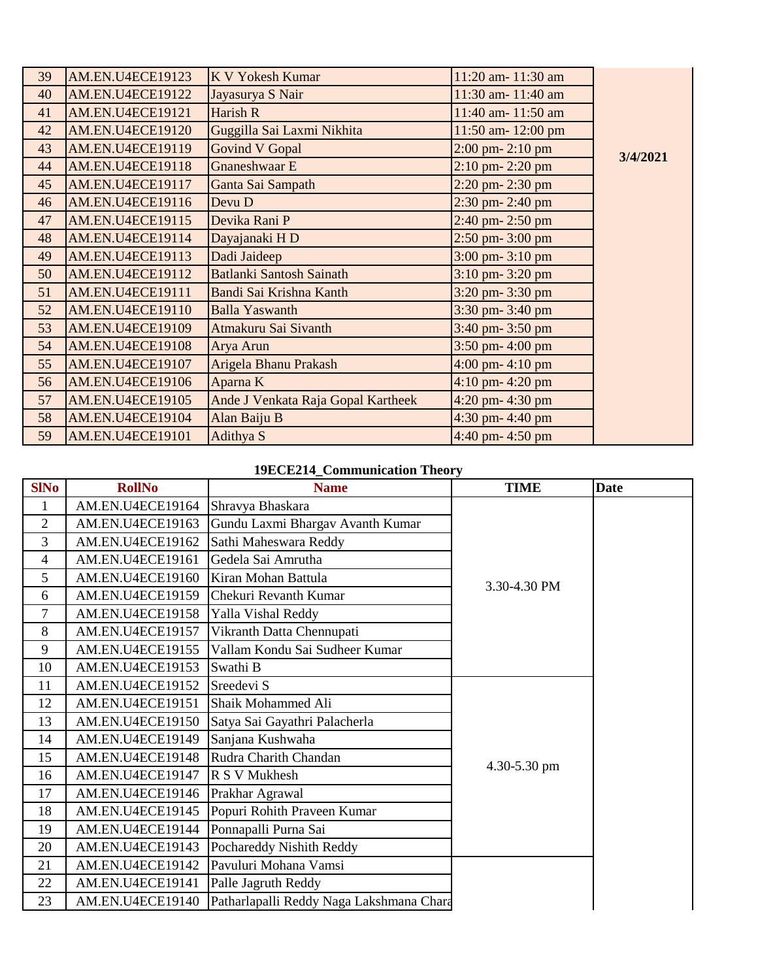| 39 | <b>AM.EN.U4ECE19123</b> | <b>K V Yokesh Kumar</b>            | 11:20 am- 11:30 am   |          |
|----|-------------------------|------------------------------------|----------------------|----------|
| 40 | <b>AM.EN.U4ECE19122</b> | Jayasurya S Nair                   | 11:30 am- 11:40 am   |          |
| 41 | <b>AM.EN.U4ECE19121</b> | Harish R                           | 11:40 am-11:50 am    |          |
| 42 | <b>AM.EN.U4ECE19120</b> | Guggilla Sai Laxmi Nikhita         | 11:50 am-12:00 pm    |          |
| 43 | <b>AM.EN.U4ECE19119</b> | <b>Govind V Gopal</b>              | $2:00$ pm- $2:10$ pm | 3/4/2021 |
| 44 | <b>AM.EN.U4ECE19118</b> | Gnaneshwaar E                      | $2:10$ pm- $2:20$ pm |          |
| 45 | <b>AM.EN.U4ECE19117</b> | Ganta Sai Sampath                  | 2:20 pm-2:30 pm      |          |
| 46 | <b>AM.EN.U4ECE19116</b> | Devu D                             | 2:30 pm-2:40 pm      |          |
| 47 | <b>AM.EN.U4ECE19115</b> | Devika Rani P                      | 2:40 pm-2:50 pm      |          |
| 48 | AM.EN.U4ECE19114        | Dayajanaki HD                      | 2:50 pm- 3:00 pm     |          |
| 49 | <b>AM.EN.U4ECE19113</b> | Dadi Jaideep                       | 3:00 pm- 3:10 pm     |          |
| 50 | <b>AM.EN.U4ECE19112</b> | <b>Batlanki Santosh Sainath</b>    | 3:10 pm- 3:20 pm     |          |
| 51 | AM.EN.U4ECE19111        | Bandi Sai Krishna Kanth            | 3:20 pm- 3:30 pm     |          |
| 52 | <b>AM.EN.U4ECE19110</b> | <b>Balla Yaswanth</b>              | 3:30 pm- 3:40 pm     |          |
| 53 | <b>AM.EN.U4ECE19109</b> | Atmakuru Sai Sivanth               | 3:40 pm- 3:50 pm     |          |
| 54 | <b>AM.EN.U4ECE19108</b> | Arya Arun                          | 3:50 pm- 4:00 pm     |          |
| 55 | <b>AM.EN.U4ECE19107</b> | Arigela Bhanu Prakash              | 4:00 pm- 4:10 pm     |          |
| 56 | <b>AM.EN.U4ECE19106</b> | Aparna K                           | $4:10$ pm- $4:20$ pm |          |
| 57 | <b>AM.EN.U4ECE19105</b> | Ande J Venkata Raja Gopal Kartheek | 4:20 pm- 4:30 pm     |          |
| 58 | <b>AM.EN.U4ECE19104</b> | Alan Baiju B                       | $4:30$ pm- $4:40$ pm |          |
| 59 | <b>AM.EN.U4ECE19101</b> | Adithya S                          | 4:40 pm- 4:50 pm     |          |

## **19ECE214\_Communication Theory**

| <b>SINo</b>    | <b>RollNo</b>           | <b>Name</b>                              | <b>TIME</b>  | <b>Date</b> |
|----------------|-------------------------|------------------------------------------|--------------|-------------|
| $\mathbf{1}$   | AM.EN.U4ECE19164        | Shravya Bhaskara                         |              |             |
| $\overline{2}$ | AM.EN.U4ECE19163        | Gundu Laxmi Bhargav Avanth Kumar         |              |             |
| 3              | AM.EN.U4ECE19162        | Sathi Maheswara Reddy                    |              |             |
| 4              | AM.EN.U4ECE19161        | Gedela Sai Amrutha                       |              |             |
| 5              | AM.EN.U4ECE19160        | Kiran Mohan Battula                      | 3.30-4.30 PM |             |
| 6              | <b>AM.EN.U4ECE19159</b> | Chekuri Revanth Kumar                    |              |             |
| 7              | AM.EN.U4ECE19158        | Yalla Vishal Reddy                       |              |             |
| 8              | AM.EN.U4ECE19157        | Vikranth Datta Chennupati                |              |             |
| 9              | AM.EN.U4ECE19155        | Vallam Kondu Sai Sudheer Kumar           |              |             |
| 10             | AM.EN.U4ECE19153        | Swathi B                                 |              |             |
| 11             | AM.EN.U4ECE19152        | Sreedevi S                               |              |             |
| 12             | AM.EN.U4ECE19151        | Shaik Mohammed Ali                       |              |             |
| 13             | AM.EN.U4ECE19150        | Satya Sai Gayathri Palacherla            |              |             |
| 14             | AM.EN.U4ECE19149        | Sanjana Kushwaha                         |              |             |
| 15             | AM.EN.U4ECE19148        | Rudra Charith Chandan                    | 4.30-5.30 pm |             |
| 16             | AM.EN.U4ECE19147        | R S V Mukhesh                            |              |             |
| 17             | AM.EN.U4ECE19146        | Prakhar Agrawal                          |              |             |
| 18             | AM.EN.U4ECE19145        | Popuri Rohith Praveen Kumar              |              |             |
| 19             | AM.EN.U4ECE19144        | Ponnapalli Purna Sai                     |              |             |
| 20             | AM.EN.U4ECE19143        | Pochareddy Nishith Reddy                 |              |             |
| 21             | AM.EN.U4ECE19142        | Pavuluri Mohana Vamsi                    |              |             |
| 22             | AM.EN.U4ECE19141        | Palle Jagruth Reddy                      |              |             |
| 23             | AM.EN.U4ECE19140        | Patharlapalli Reddy Naga Lakshmana Chara |              |             |